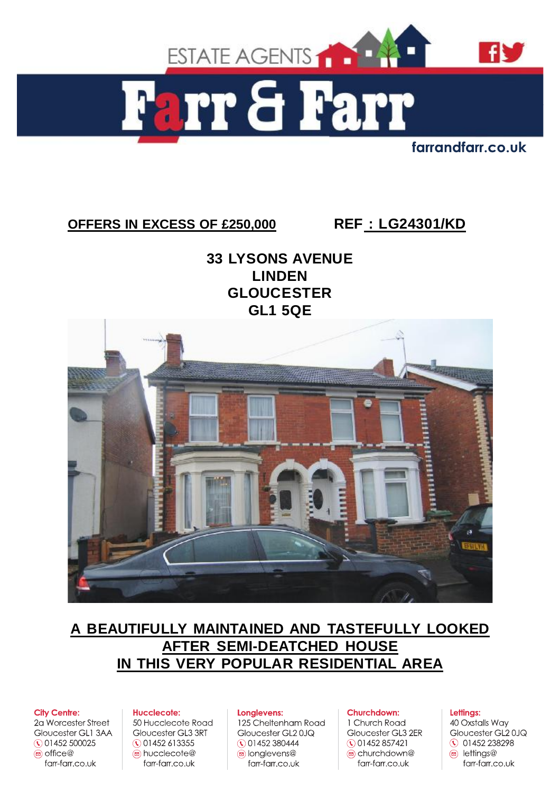

farrandfarr.co.uk

# **OFFERS IN EXCESS OF £250,000 REF : LG24301/KD**

**33 LYSONS AVENUE LINDEN GLOUCESTER GL1 5QE** 



# **A BEAUTIFULLY MAINTAINED AND TASTEFULLY LOOKED AFTER SEMI-DEATCHED HOUSE IN THIS VERY POPULAR RESIDENTIAL AREA**

#### **City Centre:**

2a Worcester Street Gloucester GL1 3AA ◯ 01452 500025  $\circledcirc$  office  $\circledcirc$ farr-farr.co.uk

#### **Hucclecote:**

50 Hucclecote Road Gloucester GL3 3RT ◯ 01452 613355 a hucclecote@ farr-farr.co.uk

#### Longlevens:

125 Cheltenham Road Gloucester GL20JQ ◯ 01452 380444 s longlevens@ farr-farr.co.uk

#### Churchdown:

1 Church Road Gloucester GL3 2ER ◯ 01452 857421 churchdown@ farr-farr.co.uk

#### Lettings:

40 Oxstalls Way Gloucester GL20JQ **0 01452 238298**  $\circledcirc$  lettings@ farr-farr.co.uk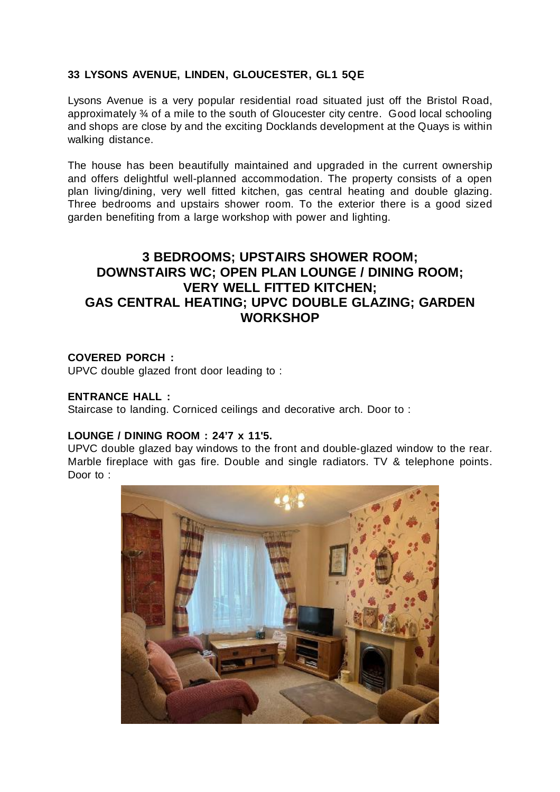## **33 LYSONS AVENUE, LINDEN, GLOUCESTER, GL1 5QE**

Lysons Avenue is a very popular residential road situated just off the Bristol Road, approximately ¾ of a mile to the south of Gloucester city centre. Good local schooling and shops are close by and the exciting Docklands development at the Quays is within walking distance.

The house has been beautifully maintained and upgraded in the current ownership and offers delightful well-planned accommodation. The property consists of a open plan living/dining, very well fitted kitchen, gas central heating and double glazing. Three bedrooms and upstairs shower room. To the exterior there is a good sized garden benefiting from a large workshop with power and lighting.

# **3 BEDROOMS; UPSTAIRS SHOWER ROOM; DOWNSTAIRS WC; OPEN PLAN LOUNGE / DINING ROOM; VERY WELL FITTED KITCHEN; GAS CENTRAL HEATING; UPVC DOUBLE GLAZING; GARDEN WORKSHOP**

## **COVERED PORCH :**

UPVC double glazed front door leading to :

### **ENTRANCE HALL :**

Staircase to landing. Corniced ceilings and decorative arch. Door to :

### **LOUNGE / DINING ROOM : 24'7 x 11'5.**

UPVC double glazed bay windows to the front and double-glazed window to the rear. Marble fireplace with gas fire. Double and single radiators. TV & telephone points. Door to:

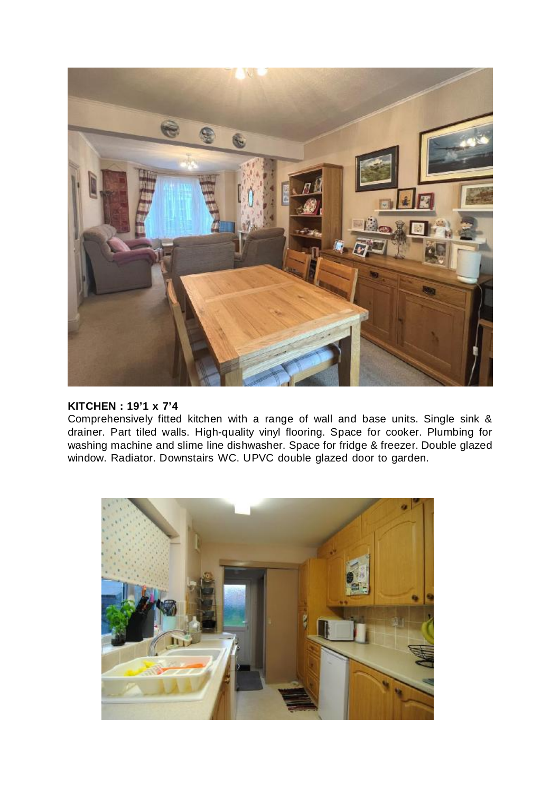

### **KITCHEN : 19'1 x 7'4**

Comprehensively fitted kitchen with a range of wall and base units. Single sink & drainer. Part tiled walls. High-quality vinyl flooring. Space for cooker. Plumbing for washing machine and slime line dishwasher. Space for fridge & freezer. Double glazed window. Radiator. Downstairs WC. UPVC double glazed door to garden.

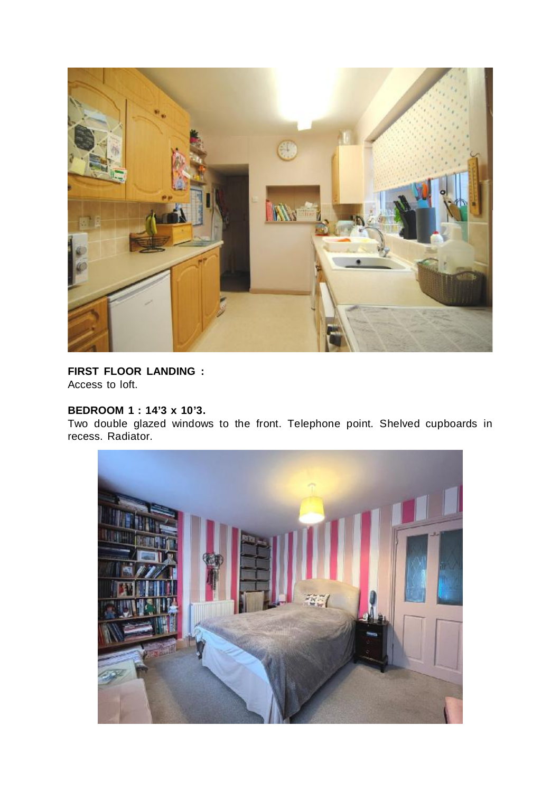

**FIRST FLOOR LANDING :**  Access to loft.

## **BEDROOM 1 : 14'3 x 10'3.**

Two double glazed windows to the front. Telephone point. Shelved cupboards in recess. Radiator.

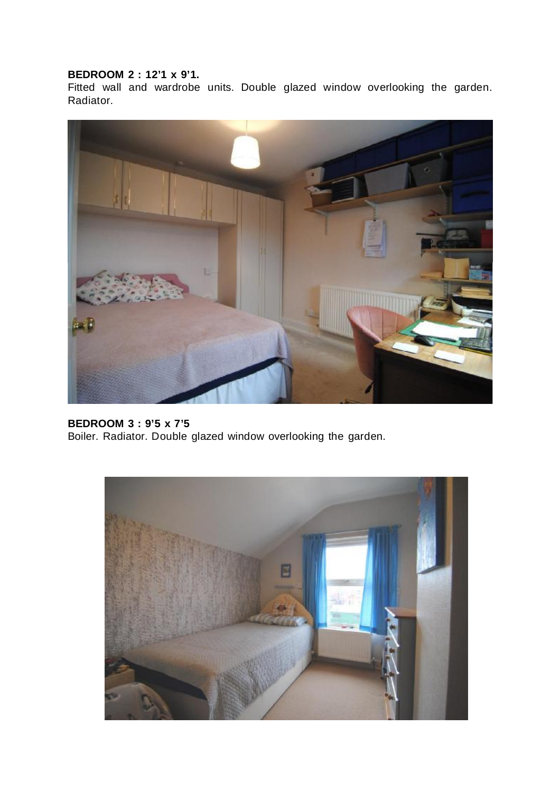## **BEDROOM 2 : 12'1 x 9'1.**

Fitted wall and wardrobe units. Double glazed window overlooking the garden. Radiator.



**BEDROOM 3 : 9'5 x 7'5**  Boiler. Radiator. Double glazed window overlooking the garden.

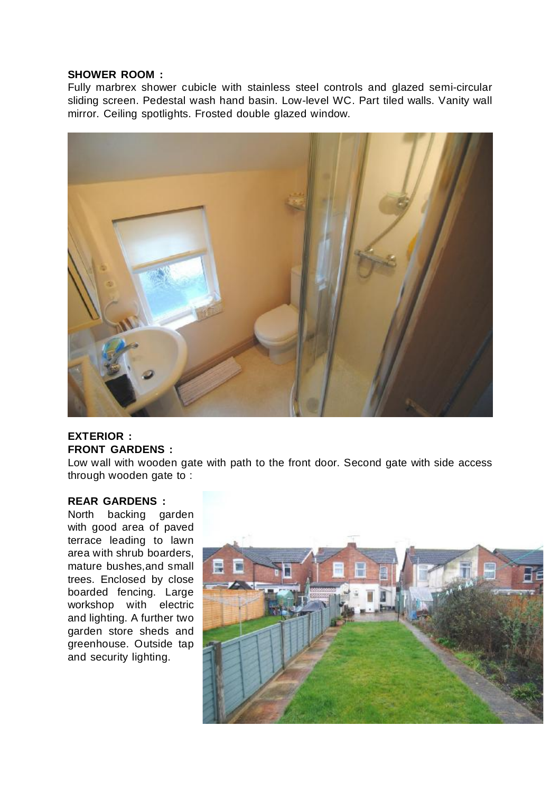### **SHOWER ROOM :**

Fully marbrex shower cubicle with stainless steel controls and glazed semi-circular sliding screen. Pedestal wash hand basin. Low-level WC. Part tiled walls. Vanity wall mirror. Ceiling spotlights. Frosted double glazed window.



## **EXTERIOR : FRONT GARDENS :**

Low wall with wooden gate with path to the front door. Second gate with side access through wooden gate to :

## **REAR GARDENS :**

North backing garden with good area of paved terrace leading to lawn area with shrub boarders, mature bushes,and small trees. Enclosed by close boarded fencing. Large workshop with electric and lighting. A further two garden store sheds and greenhouse. Outside tap and security lighting.

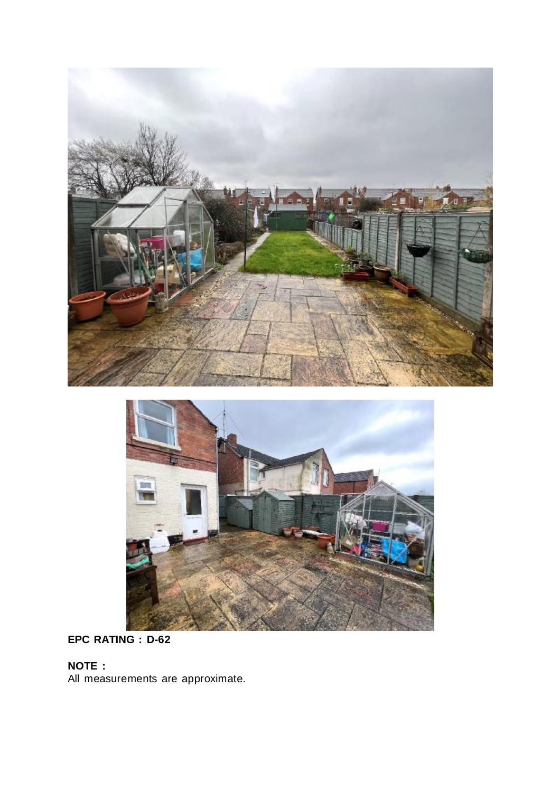



# **EPC RATING : D-62**

# **NOTE :**

All measurements are approximate.